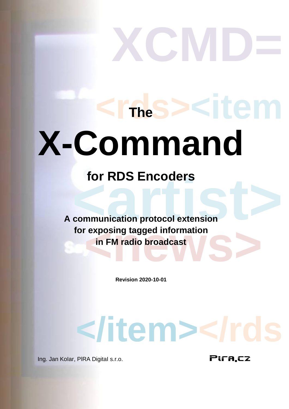# **<rds><item The X-Command**

**XCMD=**

# **for RDS Encoders**

**for RDS Encoders<br>
communication protocol extension<br>
for expecing tagged information Exposing tagged information**<br>
in FM radio broadcast **A communication protocol extension for exposing tagged information in FM radio broadcast**

**Revision 2020-10-01**

# **</item></rds**

Ing. Jan Kolar, PIRA Digital s.r.o. **PIFA.CZ**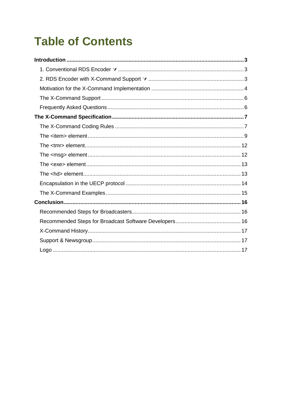# **Table of Contents**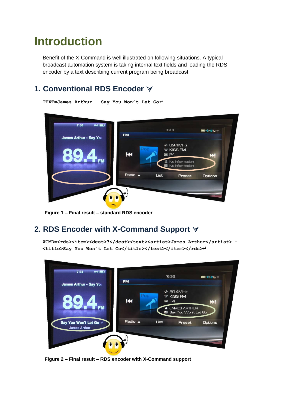# <span id="page-2-0"></span>**Introduction**

Benefit of the X-Command is well illustrated on following situations. A typical broadcast automation system is taking internal text fields and loading the RDS encoder by a text describing current program being broadcast.

## <span id="page-2-1"></span>**1. Conventional RDS Encoder**

**TEXT=James Arthur - Say You Won't Let Go**



**Figure 1 – Final result – standard RDS encoder**

# <span id="page-2-2"></span>**2. RDS Encoder with X-Command Support**

**XCMD=<rds><item><dest>3</dest><text><artist>James Arthur</artist> -** <title>Say You Won't Let Go</title></text></item></rds></



**Figure 2 – Final result – RDS encoder with X-Command support**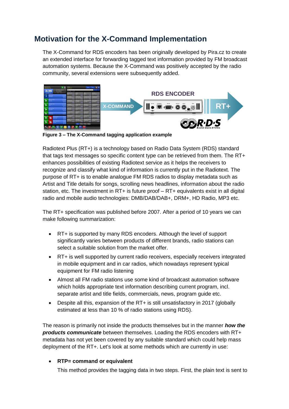# <span id="page-3-0"></span>**Motivation for the X-Command Implementation**

The X-Command for RDS encoders has been originally developed by [Pira.cz](http://pira.cz/) to create an extended interface for forwarding tagged text information provided by FM broadcast automation systems. Because the X-Command was positively accepted by the radio community, several extensions were subsequently added.



**Figure 3 – The X-Command tagging application example**

Radiotext Plus (RT+) is a technology based on Radio Data System (RDS) standard that tags text messages so specific content type can be retrieved from them. The RT+ enhances possibilities of existing Radiotext service as it helps the receivers to recognize and classify what kind of information is currently put in the Radiotext. The purpose of RT+ is to enable analogue FM RDS radios to display metadata such as Artist and Title details for songs, scrolling news headlines, information about the radio station, etc. The investment in RT+ is future proof – RT+ equivalents exist in all digital radio and mobile audio technologies: DMB/DAB/DAB+, DRM+, HD Radio, MP3 etc.

The RT+ specification was published before 2007. After a period of 10 years we can make following summarization:

- RT+ is supported by many RDS encoders. Although the level of support significantly varies between products of different brands, radio stations can select a suitable solution from the market offer.
- RT+ is well supported by current radio receivers, especially receivers integrated in mobile equipment and in car radios, which nowadays represent typical equipment for FM radio listening
- Almost all FM radio stations use some kind of broadcast automation software which holds appropriate text information describing current program, incl. separate artist and title fields, commercials, news, program guide etc.
- Despite all this, expansion of the RT+ is still unsatisfactory in 2017 (globally estimated at less than 10 % of radio stations using RDS).

The reason is primarily not inside the products themselves but in the manner *how the products communicate* between themselves. Loading the RDS encoders with RT+ metadata has not yet been covered by any suitable standard which could help mass deployment of the RT+. Let's look at some methods which are currently in use:

#### **RTP= command or equivalent**

This method provides the tagging data in two steps. First, the plain text is sent to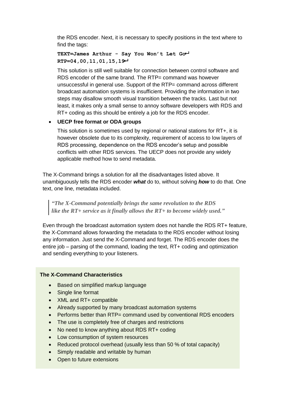the RDS encoder. Next, it is necessary to specify positions in the text where to find the tags:

#### **TEXT=James Arthur - Say You Won't Let Go RTP=04,00,11,01,15,19**

This solution is still well suitable for connection between control software and RDS encoder of the same brand. The RTP= command was however unsuccessful in general use. Support of the RTP= command across different broadcast automation systems is insufficient. Providing the information in two steps may disallow smooth visual transition between the tracks. Last but not least, it makes only a small sense to annoy software developers with RDS and RT+ coding as this should be entirely a job for the RDS encoder.

#### **UECP free format or ODA groups**

This solution is sometimes used by regional or national stations for RT+, it is however obsolete due to its complexity, requirement of access to low layers of RDS processing, dependence on the RDS encoder's setup and possible conflicts with other RDS services. The UECP does not provide any widely applicable method how to send metadata.

The X-Command brings a solution for all the disadvantages listed above. It unambiguously tells the RDS encoder *what* do to, without solving *how* to do that. One text, one line, metadata included.

*"The X-Command potentially brings the same revolution to the RDS like the RT+ service as it finally allows the RT+ to become widely used."*

Even through the broadcast automation system does not handle the RDS RT+ feature, the X-Command allows forwarding the metadata to the RDS encoder without losing any information. Just send the X-Command and forget. The RDS encoder does the entire job – parsing of the command, loading the text, RT+ coding and optimization and sending everything to your listeners.

#### **The X-Command Characteristics**

- Based on simplified markup language
- Single line format
- XML and RT+ compatible
- Already supported by many broadcast automation systems
- Performs better than RTP= command used by conventional RDS encoders
- The use is completely free of charges and restrictions
- No need to know anything about RDS RT+ coding
- Low consumption of system resources
- Reduced protocol overhead (usually less than 50 % of total capacity)
- Simply readable and writable by human
- Open to future extensions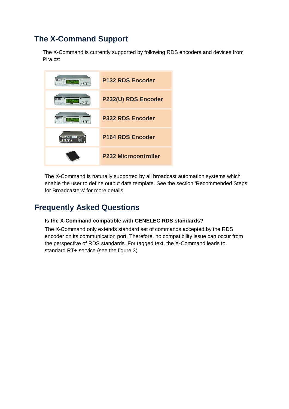# <span id="page-5-0"></span>**The X-Command Support**

The X-Command is currently supported by following RDS encoders and devices from Pira.cz:



The X-Command is naturally supported by all broadcast automation systems which enable the user to define output data template. See the section 'Recommended Steps for Broadcasters' for more details.

# <span id="page-5-1"></span>**Frequently Asked Questions**

#### **Is the X-Command compatible with CENELEC RDS standards?**

The X-Command only extends standard set of commands accepted by the RDS encoder on its communication port. Therefore, no compatibility issue can occur from the perspective of RDS standards. For tagged text, the X-Command leads to standard RT+ service (see the figure 3).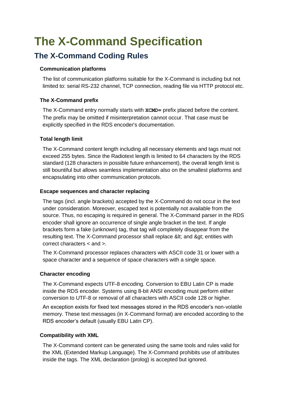# <span id="page-6-0"></span>**The X-Command Specification**

# <span id="page-6-1"></span>**The X-Command Coding Rules**

#### **Communication platforms**

The list of communication platforms suitable for the X-Command is including but not limited to: serial RS-232 channel, TCP connection, reading file via HTTP protocol etc.

#### **The X-Command prefix**

The X-Command entry normally starts with **XCMD=** prefix placed before the content. The prefix may be omitted if misinterpretation cannot occur. That case must be explicitly specified in the RDS encoder's documentation.

#### **Total length limit**

The X-Command content length including all necessary elements and tags must not exceed 255 bytes. Since the Radiotext length is limited to 64 characters by the RDS standard (128 characters in possible future enhancement), the overall length limit is still bountiful but allows seamless implementation also on the smallest platforms and encapsulating into other communication protocols.

#### **Escape sequences and character replacing**

The tags (incl. angle brackets) accepted by the X-Command do not occur in the text under consideration. Moreover, escaped text is potentially not available from the source. Thus, no escaping is required in general. The X-Command parser in the RDS encoder shall ignore an occurrence of single angle bracket in the text. If angle brackets form a fake (unknown) tag, that tag will completely disappear from the resulting text. The X-Command processor shall replace &It; and &qt; entities with correct characters < and >.

The X-Command processor replaces characters with ASCII code 31 or lower with a space character and a sequence of space characters with a single space.

#### **Character encoding**

The X-Command expects UTF-8 encoding. Conversion to EBU Latin CP is made inside the RDS encoder. Systems using 8-bit ANSI encoding must perform either conversion to UTF-8 or removal of all characters with ASCII code 128 or higher.

An exception exists for fixed text messages stored in the RDS encoder's non-volatile memory. These text messages (in X-Command format) are encoded according to the RDS encoder's default (usually EBU Latin CP).

#### **Compatibility with XML**

The X-Command content can be generated using the same tools and rules valid for the XML (Extended Markup Language). The X-Command prohibits use of attributes inside the tags. The XML declaration (prolog) is accepted but ignored.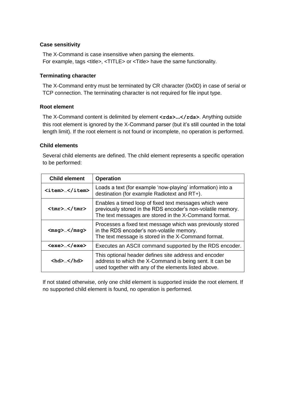#### **Case sensitivity**

The X-Command is case insensitive when parsing the elements. For example, tags <title>, <TITLE> or <Title> have the same functionality.

#### **Terminating character**

The X-Command entry must be terminated by CR character (0x0D) in case of serial or TCP connection. The terminating character is not required for file input type.

#### **Root element**

The X-Command content is delimited by element <rds>...</rds>. Anything outside this root element is ignored by the X-Command parser (but it's still counted in the total length limit). If the root element is not found or incomplete, no operation is performed.

#### **Child elements**

Several child elements are defined. The child element represents a specific operation to be performed:

| <b>Child element</b>                          | <b>Operation</b>                                                                                                                                                               |
|-----------------------------------------------|--------------------------------------------------------------------------------------------------------------------------------------------------------------------------------|
| <item></item>                                 | Loads a text (for example 'now-playing' information) into a<br>destination (for example Radiotext and RT+).                                                                    |
| $<$ tmr> $<$ /tmr>                            | Enables a timed loop of fixed text messages which were<br>previously stored in the RDS encoder's non-volatile memory.<br>The text messages are stored in the X-Command format. |
| <msg></msg>                                   | Processes a fixed text message which was previously stored<br>in the RDS encoder's non-volatile memory.<br>The text message is stored in the X-Command format.                 |
| $<$ exe $>$ $<$ /exe $>$                      | Executes an ASCII command supported by the RDS encoder.                                                                                                                        |
| $\langle hd \rangle \sim \langle h d \rangle$ | This optional header defines site address and encoder<br>address to which the X-Command is being sent. It can be<br>used together with any of the elements listed above.       |

If not stated otherwise, only one child element is supported inside the root element. If no supported child element is found, no operation is performed.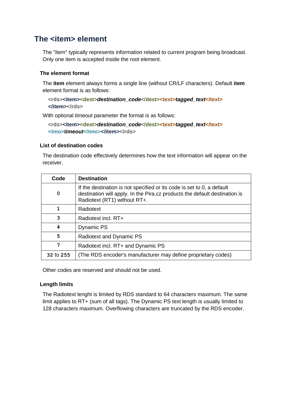# <span id="page-8-0"></span>**The <item> element**

The "item" typically represents information related to current program being broadcast. Only one item is accepted inside the root element.

#### **The element format**

The **item** element always forms a single line (without CR/LF characters). Default **item** element format is as follows:

#### **<rds><item><dest>***destination\_code***</dest><text>***tagged\_text***</text> </item></rds>**

With optional timeout parameter the format is as follows:

```
<rds><item><dest>destination_code</dest><text>tagged_text</text>
<tmo>timeout</tmo></item></rds>
```
#### **List of destination codes**

The destination code effectively determines how the text information will appear on the receiver.

| Code      | <b>Destination</b>                                                                                                                                                                   |
|-----------|--------------------------------------------------------------------------------------------------------------------------------------------------------------------------------------|
| 0         | If the destination is not specified or its code is set to 0, a default<br>destination will apply. In the Pira.cz products the default destination is<br>Radiotext (RT1) without RT+. |
|           | Radiotext                                                                                                                                                                            |
| 3         | Radiotext incl. RT+                                                                                                                                                                  |
| 4         | Dynamic PS                                                                                                                                                                           |
| 5         | Radiotext and Dynamic PS                                                                                                                                                             |
| 7         | Radiotext incl. RT+ and Dynamic PS                                                                                                                                                   |
| 32 to 255 | (The RDS encoder's manufacturer may define proprietary codes)                                                                                                                        |

Other codes are reserved and should not be used.

#### **Length limits**

The Radiotext lenght is limited by RDS standard to 64 characters maximum. The same limit applies to RT+ (sum of all tags). The Dynamic PS text length is usually limited to 128 characters maximum. Overflowing characters are truncated by the RDS encoder.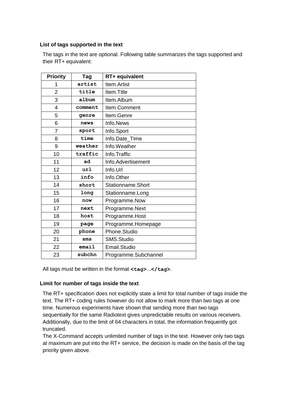#### **List of tags supported in the text**

The tags in the text are optional. Following table summarizes the tags supported and their RT+ equivalent:

| <b>Priority</b> | Tag            | RT+ equivalent       |
|-----------------|----------------|----------------------|
| 1               | artist         | Item.Artist          |
| $\overline{2}$  | title          | Item.Title           |
| 3               | album          | Item.Album           |
| 4               | comment        | Item.Comment         |
| 5               | genre          | Item.Genre           |
| 6               | news           | Info.News            |
| $\overline{7}$  | sport          | Info.Sport           |
| 8               | time           | Info.Date_Time       |
| 9               | weather        | Info.Weather         |
| 10              | traffic        | Info.Traffic         |
| 11              | ad             | Info.Advertisement   |
| 12              | ur1            | Info.Url             |
| 13              | info           | Info.Other           |
| 14              | short          | Stationname.Short    |
| 15              | long           | Stationname.Long     |
| 16              | now            | Programme.Now        |
| 17              | next           | Programme.Next       |
| 18              | host           | Programme.Host       |
| 19              | page           | Programme.Homepage   |
| 20              | phone          | Phone.Studio         |
| 21              | $\texttt{sms}$ | SMS.Studio           |
| 22              | email          | Email.Studio         |
| 23              | subchn         | Programme.Subchannel |

All tags must be written in the format <tag>...</tag>.

#### **Limit for number of tags inside the text**

The RT+ specification does not explicitly state a limit for total number of tags inside the text. The RT+ coding rules however do not allow to mark more than two tags at one time. Numerous experiments have shown that sending more than two tags sequentially for the same Radiotext gives unpredictable results on various receivers. Additionally, due to the limit of 64 characters in total, the information frequently got truncated.

The X-Command accepts unlimited number of tags in the text. However only two tags at maximum are put into the RT+ service, the decision is made on the basis of the tag priority given above.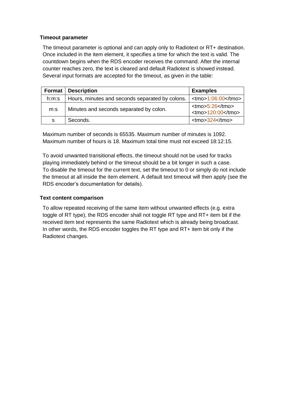#### **Timeout parameter**

The timeout parameter is optional and can apply only to Radiotext or RT+ destination. Once included in the item element, it specifies a time for which the text is valid. The countdown begins when the RDS encoder receives the command. After the internal counter reaches zero, the text is cleared and default Radiotext is showed instead. Several input formats are accepted for the timeout, as given in the table:

|       | <b>Format   Description</b>                     | <b>Examples</b>                                                   |
|-------|-------------------------------------------------|-------------------------------------------------------------------|
| h:m:s | Hours, minutes and seconds separated by colons. | <tmo>1:06:00</tmo>                                                |
| m:s   | Minutes and seconds separated by colon.         | $<$ tmo>5:26 $<$ /tmo><br>$$\text{x}$ mo>120:00 $$\text{x}$ /tmo> |
| s     | Seconds.                                        | $<$ tmo>324 $<$ /tmo>                                             |

Maximum number of seconds is 65535. Maximum number of minutes is 1092. Maximum number of hours is 18. Maximum total time must not exceed 18:12:15.

To avoid unwanted transitional effects, the timeout should not be used for tracks playing immediately behind or the timeout should be a bit longer in such a case. To disable the timeout for the current text, set the timeout to 0 or simply do not include the timeout at all inside the item element. A default text timeout will then apply (see the RDS encoder's documentation for details).

#### **Text content comparison**

To allow repeated receiving of the same item without unwanted effects (e.g. extra toggle of RT type), the RDS encoder shall not toggle RT type and RT+ item bit if the received item text represents the same Radiotext which is already being broadcast. In other words, the RDS encoder toggles the RT type and RT+ item bit only if the Radiotext changes.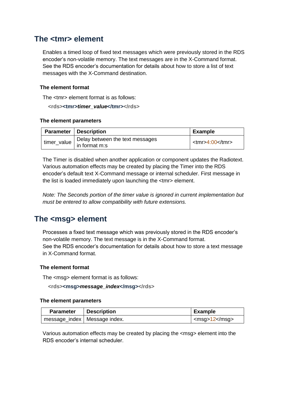## <span id="page-11-0"></span>**The <tmr> element**

Enables a timed loop of fixed text messages which were previously stored in the RDS encoder's non-volatile memory. The text messages are in the X-Command format. See the RDS encoder's documentation for details about how to store a list of text messages with the X-Command destination.

#### **The element format**

The <tmr> element format is as follows:

**<rds><tmr>***timer\_value***</tmr></rds>**

#### **The element parameters**

| <b>Parameter   Description</b>                                 | <b>Example</b>          |
|----------------------------------------------------------------|-------------------------|
| Delay between the text messages<br>$\frac{1}{2}$ in format m:s | $\vert$ <tmr>4:00</tmr> |

The Timer is disabled when another application or component updates the Radiotext. Various automation effects may be created by placing the Timer into the RDS encoder's default text X-Command message or internal scheduler. First message in the list is loaded immediately upon launching the <tmr> element.

*Note: The Seconds portion of the timer value is ignored in current implementation but must be entered to allow compatibility with future extensions.*

## <span id="page-11-1"></span>**The <msg> element**

Processes a fixed text message which was previously stored in the RDS encoder's non-volatile memory. The text message is in the X-Command format. See the RDS encoder's documentation for details about how to store a text message in X-Command format.

#### **The element format**

The <msg> element format is as follows:

**<rds><msg>***message\_index***</msg></rds>**

#### **The element parameters**

| <b>Parameter   Description</b> | Example       |
|--------------------------------|---------------|
| message_index   Message index. | $\sim$ msg>12 |

Various automation effects may be created by placing the <msg> element into the RDS encoder's internal scheduler.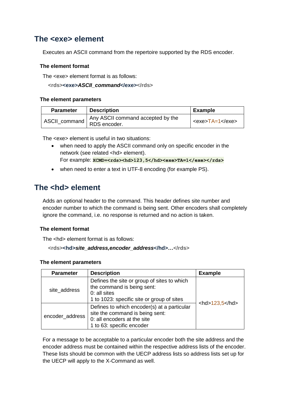## <span id="page-12-0"></span>**The <exe> element**

Executes an ASCII command from the repertoire supported by the RDS encoder.

#### **The element format**

The <exe> element format is as follows:

**<rds><exe>***ASCII\_command***</exe></rds>**

#### **The element parameters**

| <b>Parameter</b> | <b>Description</b>                                                | <b>Example</b>         |
|------------------|-------------------------------------------------------------------|------------------------|
|                  | Any ASCII command accepted by the<br>ASCII_command   RDS encoder. | $<$ exe>TA=1 $<$ /exe> |

The <exe> element is useful in two situations:

- when need to apply the ASCII command only on specific encoder in the network (see related <hd> element). For example:  $x_{\text{CMD}=<$ rds><hd>123,5</hd><exe>TA=1</exe></rds>
- when need to enter a text in UTF-8 encoding (for example PS).

## <span id="page-12-1"></span>The <hd> element

Adds an optional header to the command. This header defines site number and encoder number to which the command is being sent. Other encoders shall completely ignore the command, i.e. no response is returned and no action is taken.

#### **The element format**

The <hd> element format is as follows:

**<rds><hd>***site\_address,encoder\_address***</hd>…</rds>**

#### **The element parameters**

| <b>Parameter</b> | <b>Description</b>                                                                                                                         | <b>Example</b>              |
|------------------|--------------------------------------------------------------------------------------------------------------------------------------------|-----------------------------|
| site_address     | Defines the site or group of sites to which<br>the command is being sent:<br>0: all sites<br>1 to 1023: specific site or group of sites    | $<$ hd $>123,5$ $<$ /hd $>$ |
| encoder address  | Defines to which encoder(s) at a particular<br>site the command is being sent:<br>0: all encoders at the site<br>1 to 63: specific encoder |                             |

For a message to be acceptable to a particular encoder both the site address and the encoder address must be contained within the respective address lists of the encoder. These lists should be common with the UECP address lists so address lists set up for the UECP will apply to the X-Command as well.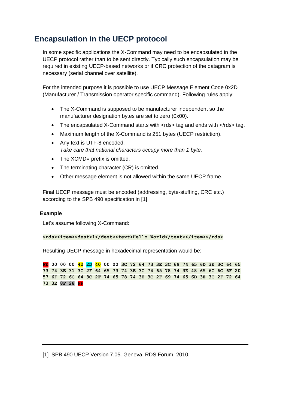# <span id="page-13-0"></span>**Encapsulation in the UECP protocol**

In some specific applications the X-Command may need to be encapsulated in the UECP protocol rather than to be sent directly. Typically such encapsulation may be required in existing UECP-based networks or if CRC protection of the datagram is necessary (serial channel over satellite).

For the intended purpose it is possible to use UECP Message Element Code 0x2D (Manufacturer / Transmission operator specific command). Following rules apply:

- The X-Command is supposed to be manufacturer independent so the manufacturer designation bytes are set to zero (0x00).
- The encapsulated X-Command starts with  $\langle$ rds $\rangle$  tag and ends with  $\langle$ rds $\rangle$  tag.
- Maximum length of the X-Command is 251 bytes (UECP restriction).
- Any text is UTF-8 encoded. *Take care that national characters occupy more than 1 byte.*
- The XCMD= prefix is omitted.
- The terminating character (CR) is omitted.
- Other message element is not allowed within the same UECP frame.

Final UECP message must be encoded (addressing, byte-stuffing, CRC etc.) according to the SPB 490 specification in [1].

#### **Example**

Let's assume following X-Command:

<tds><item><dest>1</dest><text>Hello World</text></item></rds>

Resulting UECP message in hexadecimal representation would be:

**FE 00 00 00 42 2D 40 00 00 3C 72 64 73 3E 3C 69 74 65 6D 3E 3C 64 65 73 74 3E 31 3C 2F 64 65 73 74 3E 3C 74 65 78 74 3E 48 65 6C 6C 6F 20 57 6F 72 6C 64 3C 2F 74 65 78 74 3E 3C 2F 69 74 65 6D 3E 3C 2F 72 64 73 3E 8F 28 FF**

[1] SPB 490 UECP Version 7.05. Geneva, RDS Forum, 2010.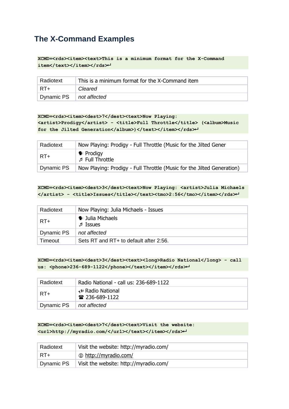# <span id="page-14-0"></span>**The X-Command Examples**

```
XCMD=<rds><item><text>This is a minimum format for the X-Command 
item</text></item></rds></
```

| Radiotext                 | This is a minimum format for the X-Command item |
|---------------------------|-------------------------------------------------|
| $RT+$                     | Cleared                                         |
| Dynamic PS   not affected |                                                 |

```
XCMD=<rds><item><dest>7</dest><text>Now Playing: 
<artist>Prodigy</artist> - <title>Full Throttle</title> (<album>Music 
for the Jilted Generation</album>)</text></item></rds></
```

| Radiotext  | Now Playing: Prodigy - Full Throttle (Music for the Jilted Gener       |
|------------|------------------------------------------------------------------------|
| $RT+$      | $\bullet$ Prodigy<br>Full Throttle                                     |
| Dynamic PS | Now Playing: Prodigy - Full Throttle (Music for the Jilted Generation) |

#### **XCMD=<rds><item><dest>3</dest><text>Now Playing: <artist>Julia Michaels** </artist> - <title>Issues</title></text><tmo>2:56</tmo></item></rds>

| Radiotext  | Now Playing: Julia Michaels - Issues          |
|------------|-----------------------------------------------|
| $RT+$      | $\bullet$ Julia Michaels<br>$\sqrt{2}$ Issues |
| Dynamic PS | not affected                                  |
| Timeout    | Sets RT and RT+ to default after 2:56.        |

#### **XCMD=<rds><item><dest>3</dest><text><long>Radio National</long> - call**  us: <phone>236-689-1122</phone></text></item></rds></

| Radiotext  | Radio National - call us: 236-689-1122 |  |
|------------|----------------------------------------|--|
| $RT+$      | ← Radio National<br>☎ 236-689-1122     |  |
| Dynamic PS | not affected                           |  |

#### **XCMD=<rds><item><dest>7</dest><text>Visit the website:**  <url>http://myradio.com/</url></text></item></rds></

| Radiotext  | Visit the website: http://myradio.com/ |
|------------|----------------------------------------|
| l RT+      | 1 http://myradio.com/                  |
| Dynamic PS | Visit the website: http://myradio.com/ |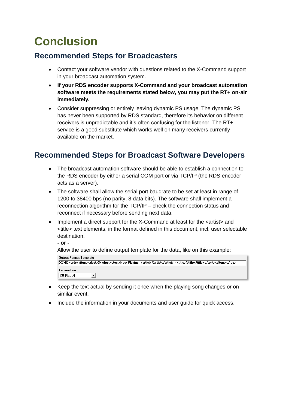# <span id="page-15-0"></span>**Conclusion**

## <span id="page-15-1"></span>**Recommended Steps for Broadcasters**

- Contact your software vendor with questions related to the X-Command support in your broadcast automation system.
- **If your RDS encoder supports X-Command and your broadcast automation software meets the requirements stated below, you may put the RT+ on-air immediately.**
- Consider suppressing or entirely leaving dynamic PS usage. The dynamic PS has never been supported by RDS standard, therefore its behavior on different receivers is unpredictable and it's often confusing for the listener. The RT+ service is a good substitute which works well on many receivers currently available on the market.

# <span id="page-15-2"></span>**Recommended Steps for Broadcast Software Developers**

- The broadcast automation software should be able to establish a connection to the RDS encoder by either a serial COM port or via TCP/IP (the RDS encoder acts as a server).
- The software shall allow the serial port baudrate to be set at least in range of 1200 to 38400 bps (no parity, 8 data bits). The software shall implement a reconnection algorithm for the TCP/IP – check the connection status and reconnect if necessary before sending next data.
- Implement a direct support for the X-Command at least for the  $\lt$  artist and <title> text elements, in the format defined in this document, incl. user selectable destination.

**- or -**

Allow the user to define output template for the data, like on this example: **Output Format Template** 

|             | XCMD= <rds><item><dest>3</dest><text>Now Playing: <artist>%artist</artist> - <title>%title&gt;</title></text></item></rds> |
|-------------|----------------------------------------------------------------------------------------------------------------------------|
| Termination |                                                                                                                            |
| CR (0x0D)   |                                                                                                                            |

- Keep the text actual by sending it once when the playing song changes or on similar event.
- Include the information in your documents and user guide for quick access.